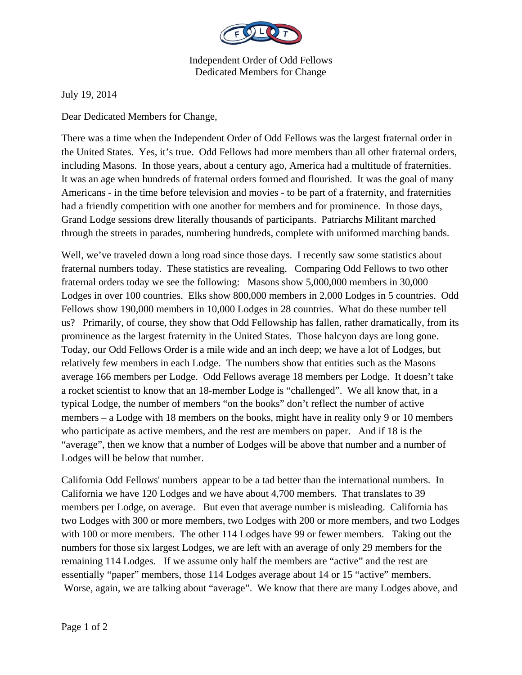

Independent Order of Odd Fellows Dedicated Members for Change

July 19, 2014

Dear Dedicated Members for Change,

There was a time when the Independent Order of Odd Fellows was the largest fraternal order in the United States. Yes, it's true. Odd Fellows had more members than all other fraternal orders, including Masons. In those years, about a century ago, America had a multitude of fraternities. It was an age when hundreds of fraternal orders formed and flourished. It was the goal of many Americans - in the time before television and movies - to be part of a fraternity, and fraternities had a friendly competition with one another for members and for prominence. In those days, Grand Lodge sessions drew literally thousands of participants. Patriarchs Militant marched through the streets in parades, numbering hundreds, complete with uniformed marching bands.

Well, we've traveled down a long road since those days. I recently saw some statistics about fraternal numbers today. These statistics are revealing. Comparing Odd Fellows to two other fraternal orders today we see the following: Masons show 5,000,000 members in 30,000 Lodges in over 100 countries. Elks show 800,000 members in 2,000 Lodges in 5 countries. Odd Fellows show 190,000 members in 10,000 Lodges in 28 countries. What do these number tell us? Primarily, of course, they show that Odd Fellowship has fallen, rather dramatically, from its prominence as the largest fraternity in the United States. Those halcyon days are long gone. Today, our Odd Fellows Order is a mile wide and an inch deep; we have a lot of Lodges, but relatively few members in each Lodge. The numbers show that entities such as the Masons average 166 members per Lodge. Odd Fellows average 18 members per Lodge. It doesn't take a rocket scientist to know that an 18-member Lodge is "challenged". We all know that, in a typical Lodge, the number of members "on the books" don't reflect the number of active members – a Lodge with 18 members on the books, might have in reality only 9 or 10 members who participate as active members, and the rest are members on paper. And if 18 is the "average", then we know that a number of Lodges will be above that number and a number of Lodges will be below that number.

California Odd Fellows' numbers appear to be a tad better than the international numbers. In California we have 120 Lodges and we have about 4,700 members. That translates to 39 members per Lodge, on average. But even that average number is misleading. California has two Lodges with 300 or more members, two Lodges with 200 or more members, and two Lodges with 100 or more members. The other 114 Lodges have 99 or fewer members. Taking out the numbers for those six largest Lodges, we are left with an average of only 29 members for the remaining 114 Lodges. If we assume only half the members are "active" and the rest are essentially "paper" members, those 114 Lodges average about 14 or 15 "active" members. Worse, again, we are talking about "average". We know that there are many Lodges above, and